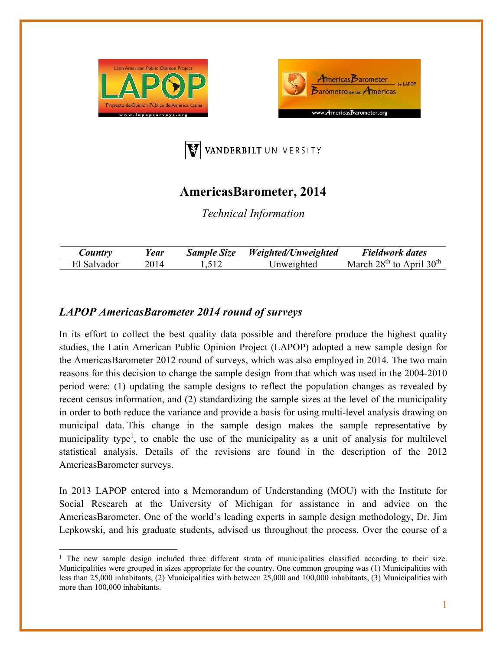





# **AmericasBarometer, 2014**

*Technical Information* 

| $\sim$ ountry | ear | <b>Sample Size</b> | Weighted/Unweighted | <b>Fieldwork dates</b>       |
|---------------|-----|--------------------|---------------------|------------------------------|
| El Salvador   |     | 517                | Inweighted          | March $28th$ to April $30th$ |

## *LAPOP AmericasBarometer 2014 round of surveys*

In its effort to collect the best quality data possible and therefore produce the highest quality studies, the Latin American Public Opinion Project (LAPOP) adopted a new sample design for the AmericasBarometer 2012 round of surveys, which was also employed in 2014. The two main reasons for this decision to change the sample design from that which was used in the 2004-2010 period were: (1) updating the sample designs to reflect the population changes as revealed by recent census information, and (2) standardizing the sample sizes at the level of the municipality in order to both reduce the variance and provide a basis for using multi-level analysis drawing on municipal data. This change in the sample design makes the sample representative by municipality type<sup>1</sup>, to enable the use of the municipality as a unit of analysis for multilevel statistical analysis. Details of the revisions are found in the description of the 2012 AmericasBarometer surveys.

In 2013 LAPOP entered into a Memorandum of Understanding (MOU) with the Institute for Social Research at the University of Michigan for assistance in and advice on the AmericasBarometer. One of the world's leading experts in sample design methodology, Dr. Jim Lepkowski, and his graduate students, advised us throughout the process. Over the course of a

<sup>&</sup>lt;sup>1</sup> The new sample design included three different strata of municipalities classified according to their size. Municipalities were grouped in sizes appropriate for the country. One common grouping was (1) Municipalities with less than 25,000 inhabitants, (2) Municipalities with between 25,000 and 100,000 inhabitants, (3) Municipalities with more than 100,000 inhabitants.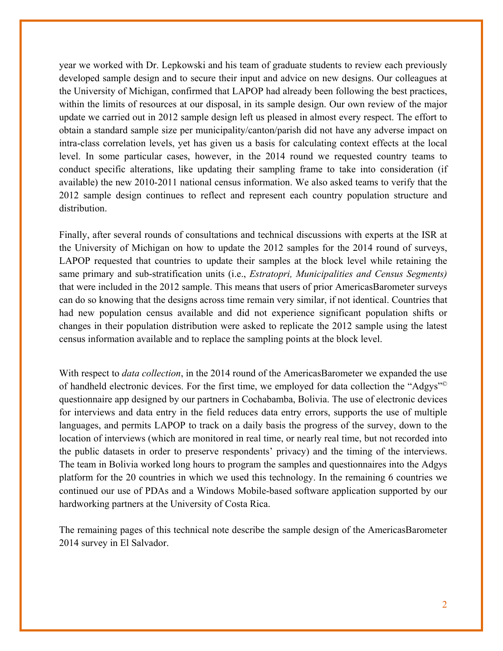year we worked with Dr. Lepkowski and his team of graduate students to review each previously developed sample design and to secure their input and advice on new designs. Our colleagues at the University of Michigan, confirmed that LAPOP had already been following the best practices, within the limits of resources at our disposal, in its sample design. Our own review of the major update we carried out in 2012 sample design left us pleased in almost every respect. The effort to obtain a standard sample size per municipality/canton/parish did not have any adverse impact on intra-class correlation levels, yet has given us a basis for calculating context effects at the local level. In some particular cases, however, in the 2014 round we requested country teams to conduct specific alterations, like updating their sampling frame to take into consideration (if available) the new 2010-2011 national census information. We also asked teams to verify that the 2012 sample design continues to reflect and represent each country population structure and distribution.

Finally, after several rounds of consultations and technical discussions with experts at the ISR at the University of Michigan on how to update the 2012 samples for the 2014 round of surveys, LAPOP requested that countries to update their samples at the block level while retaining the same primary and sub-stratification units (i.e., *Estratopri, Municipalities and Census Segments)*  that were included in the 2012 sample. This means that users of prior AmericasBarometer surveys can do so knowing that the designs across time remain very similar, if not identical. Countries that had new population census available and did not experience significant population shifts or changes in their population distribution were asked to replicate the 2012 sample using the latest census information available and to replace the sampling points at the block level.

With respect to *data collection*, in the 2014 round of the AmericasBarometer we expanded the use of handheld electronic devices. For the first time, we employed for data collection the "Adgys"© questionnaire app designed by our partners in Cochabamba, Bolivia. The use of electronic devices for interviews and data entry in the field reduces data entry errors, supports the use of multiple languages, and permits LAPOP to track on a daily basis the progress of the survey, down to the location of interviews (which are monitored in real time, or nearly real time, but not recorded into the public datasets in order to preserve respondents' privacy) and the timing of the interviews. The team in Bolivia worked long hours to program the samples and questionnaires into the Adgys platform for the 20 countries in which we used this technology. In the remaining 6 countries we continued our use of PDAs and a Windows Mobile-based software application supported by our hardworking partners at the University of Costa Rica.

The remaining pages of this technical note describe the sample design of the AmericasBarometer 2014 survey in El Salvador.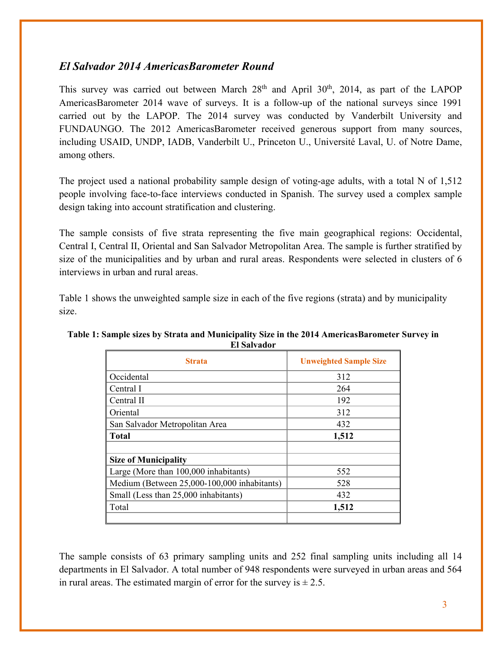### *El Salvador 2014 AmericasBarometer Round*

This survey was carried out between March  $28<sup>th</sup>$  and April  $30<sup>th</sup>$ ,  $2014$ , as part of the LAPOP AmericasBarometer 2014 wave of surveys. It is a follow-up of the national surveys since 1991 carried out by the LAPOP. The 2014 survey was conducted by Vanderbilt University and FUNDAUNGO. The 2012 AmericasBarometer received generous support from many sources, including USAID, UNDP, IADB, Vanderbilt U., Princeton U., Université Laval, U. of Notre Dame, among others.

The project used a national probability sample design of voting-age adults, with a total N of 1,512 people involving face-to-face interviews conducted in Spanish. The survey used a complex sample design taking into account stratification and clustering.

The sample consists of five strata representing the five main geographical regions: Occidental, Central I, Central II, Oriental and San Salvador Metropolitan Area. The sample is further stratified by size of the municipalities and by urban and rural areas. Respondents were selected in clusters of 6 interviews in urban and rural areas.

Table 1 shows the unweighted sample size in each of the five regions (strata) and by municipality size.

| <b>Strata</b>                               | <b>Unweighted Sample Size</b> |  |
|---------------------------------------------|-------------------------------|--|
| Occidental                                  | 312                           |  |
| Central I                                   | 264                           |  |
| Central II                                  | 192                           |  |
| Oriental                                    | 312                           |  |
| San Salvador Metropolitan Area              | 432                           |  |
| <b>Total</b>                                | 1,512                         |  |
|                                             |                               |  |
| <b>Size of Municipality</b>                 |                               |  |
| Large (More than 100,000 inhabitants)       | 552                           |  |
| Medium (Between 25,000-100,000 inhabitants) | 528                           |  |
| Small (Less than 25,000 inhabitants)        | 432                           |  |
| Total                                       | 1,512                         |  |
|                                             |                               |  |

#### **Table 1: Sample sizes by Strata and Municipality Size in the 2014 AmericasBarometer Survey in El Salvador**

The sample consists of 63 primary sampling units and 252 final sampling units including all 14 departments in El Salvador. A total number of 948 respondents were surveyed in urban areas and 564 in rural areas. The estimated margin of error for the survey is  $\pm 2.5$ .